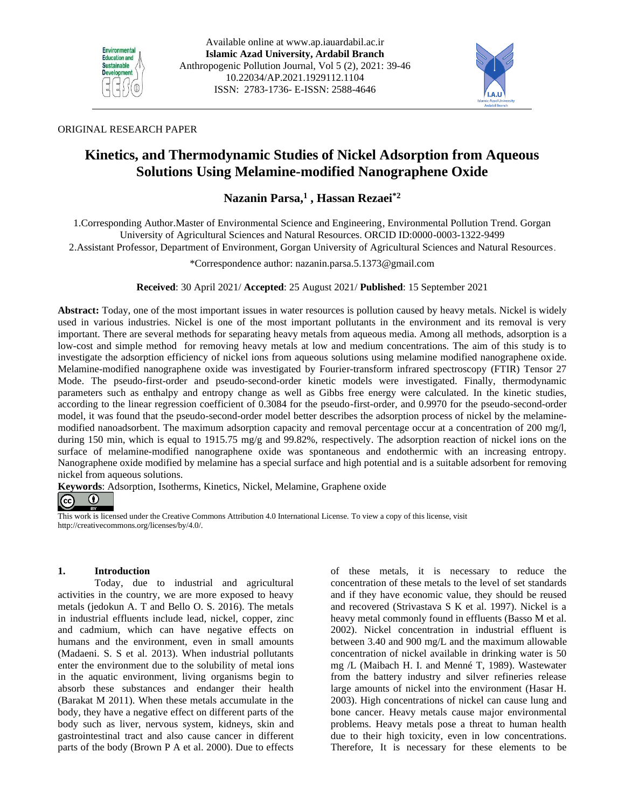



## ORIGINAL RESEARCH PAPER

# **Kinetics, and Thermodynamic Studies of Nickel Adsorption from Aqueous Solutions Using Melamine-modified Nanographene Oxide**

## **Nazanin Parsa,<sup>1</sup> , Hassan Rezaei\*2**

1.Corresponding Author.Master of Environmental Science and Engineering, Environmental Pollution Trend. Gorgan University of Agricultural Sciences and Natural Resources. ORCID ID:0000-0003-1322-9499

2.Assistant Professor, Department of Environment, Gorgan University of Agricultural Sciences and Natural Resources .

\*Correspondence author: [nazanin.parsa.5.1373@gmail.com](mailto:nazanin.parsa.5.1373@gmail.com)

**Received**: 30 April 2021/ **Accepted**: 25 August 2021/ **Published**: 15 September 2021

**Abstract:** Today, one of the most important issues in water resources is pollution caused by heavy metals. Nickel is widely used in various industries. Nickel is one of the most important pollutants in the environment and its removal is very important. There are several methods for separating heavy metals from aqueous media. Among all methods, adsorption is a low-cost and simple method for removing heavy metals at low and medium concentrations. The aim of this study is to investigate the adsorption efficiency of nickel ions from aqueous solutions using melamine modified nanographene oxide. Melamine-modified nanographene oxide was investigated by Fourier-transform infrared spectroscopy (FTIR) Tensor 27 Mode. The pseudo-first-order and pseudo-second-order kinetic models were investigated. Finally, thermodynamic parameters such as enthalpy and entropy change as well as Gibbs free energy were calculated. In the kinetic studies, according to the linear regression coefficient of 0.3084 for the pseudo-first-order, and 0.9970 for the pseudo-second-order model, it was found that the pseudo-second-order model better describes the adsorption process of nickel by the melaminemodified nanoadsorbent. The maximum adsorption capacity and removal percentage occur at a concentration of 200 mg/l, during 150 min, which is equal to 1915.75 mg/g and 99.82%, respectively. The adsorption reaction of nickel ions on the surface of melamine-modified nanographene oxide was spontaneous and endothermic with an increasing entropy. Nanographene oxide modified by melamine has a special surface and high potential and is a suitable adsorbent for removing nickel from aqueous solutions.

**Keywords**: Adsorption, Isotherms, Kinetics, Nickel, Melamine, Graphene oxide

#### $\odot$  $\left(\mathrm{cc}\right)$

This work is licensed under the Creative Commons Attribution 4.0 International License. To view a copy of this license, visit http://creativecommons.org/licenses/by/4.0/.

## **1. Introduction**

Today, due to industrial and agricultural activities in the country, we are more exposed to heavy metals (jedokun A. T and Bello O. S. 2016). The metals in industrial effluents include lead, nickel, copper, zinc and cadmium, which can have negative effects on humans and the environment, even in small amounts (Madaeni. S. S et al. 2013). When industrial pollutants enter the environment due to the solubility of metal ions in the aquatic environment, living organisms begin to absorb these substances and endanger their health (Barakat M 2011). When these metals accumulate in the body, they have a negative effect on different parts of the body such as liver, nervous system, kidneys, skin and gastrointestinal tract and also cause cancer in different parts of the body (Brown P A et al. 2000). Due to effects

of these metals, it is necessary to reduce the concentration of these metals to the level of set standards and if they have economic value, they should be reused and recovered (Strivastava S K et al. 1997). Nickel is a heavy metal commonly found in effluents (Basso M et al. 2002). Nickel concentration in industrial effluent is between 3.40 and 900 mg/L and the maximum allowable concentration of nickel available in drinking water is 50 mg /L (Maibach H. I. and Menné T, 1989). Wastewater from the battery industry and silver refineries release large amounts of nickel into the environment (Hasar H. 2003). High concentrations of nickel can cause lung and bone cancer. Heavy metals cause major environmental problems. Heavy metals pose a threat to human health due to their high toxicity, even in low concentrations. Therefore, It is necessary for these elements to be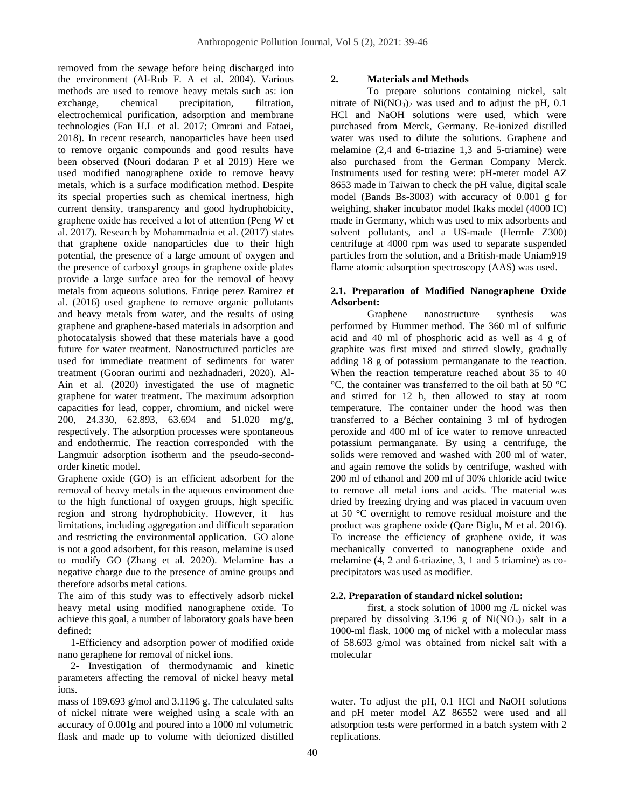removed from the sewage before being discharged into the environment (Al-Rub F. A et al. 2004). Various methods are used to remove heavy metals such as: ion exchange, chemical precipitation, filtration, electrochemical purification, adsorption and membrane technologies (Fan H.L et al. 2017; Omrani and Fataei, 2018). In recent research, nanoparticles have been used to remove organic compounds and good results have been observed (Nouri dodaran P et al 2019) Here we used modified nanographene oxide to remove heavy metals, which is a surface modification method. Despite its special properties such as chemical inertness, high current density, transparency and good hydrophobicity, graphene oxide has received a lot of attention (Peng W et al. 2017). Research by Mohammadnia et al. (2017) states that graphene oxide nanoparticles due to their high potential, the presence of a large amount of oxygen and the presence of carboxyl groups in graphene oxide plates provide a large surface area for the removal of heavy metals from aqueous solutions. Enriqe perez Ramirez et al. (2016) used graphene to remove organic pollutants and heavy metals from water, and the results of using graphene and graphene-based materials in adsorption and photocatalysis showed that these materials have a good future for water treatment. Nanostructured particles are used for immediate treatment of sediments for water treatment (Gooran ourimi and nezhadnaderi, 2020). Al-Ain et al. (2020) investigated the use of magnetic graphene for water treatment. The maximum adsorption capacities for lead, copper, chromium, and nickel were 200, 24.330, 62.893, 63.694 and 51.020 mg/g, respectively. The adsorption processes were spontaneous and endothermic. The reaction corresponded with the Langmuir adsorption isotherm and the pseudo-secondorder kinetic model.

Graphene oxide (GO) is an efficient adsorbent for the removal of heavy metals in the aqueous environment due to the high functional of oxygen groups, high specific region and strong hydrophobicity. However, it has limitations, including aggregation and difficult separation and restricting the environmental application. GO alone is not a good adsorbent, for this reason, melamine is used to modify GO (Zhang et al. 2020). Melamine has a negative charge due to the presence of amine groups and therefore adsorbs metal cations.

The aim of this study was to effectively adsorb nickel heavy metal using modified nanographene oxide. To achieve this goal, a number of laboratory goals have been defined:

 1-Efficiency and adsorption power of modified oxide nano geraphene for removal of nickel ions.

 2- Investigation of thermodynamic and kinetic parameters affecting the removal of nickel heavy metal ions.

mass of 189.693 g/mol and 3.1196 g. The calculated salts of nickel nitrate were weighed using a scale with an accuracy of 0.001g and poured into a 1000 ml volumetric flask and made up to volume with deionized distilled

## **2. Materials and Methods**

To prepare solutions containing nickel, salt nitrate of  $Ni(NO<sub>3</sub>)<sub>2</sub>$  was used and to adjust the pH, 0.1 HCl and NaOH solutions were used, which were purchased from Merck, Germany. Re-ionized distilled water was used to dilute the solutions. Graphene and melamine (2,4 and 6-triazine 1,3 and 5-triamine) were also purchased from the German Company Merck. Instruments used for testing were: pH-meter model AZ 8653 made in Taiwan to check the pH value, digital scale model (Bands Bs-3003) with accuracy of 0.001 g for weighing, shaker incubator model Ikaks model (4000 IC) made in Germany, which was used to mix adsorbents and solvent pollutants, and a US-made (Hermle Z300) centrifuge at 4000 rpm was used to separate suspended particles from the solution, and a British-made Uniam919 flame atomic adsorption spectroscopy (AAS) was used.

## **2.1. Preparation of Modified Nanographene Oxide Adsorbent:**

Graphene nanostructure synthesis was performed by Hummer method. The 360 ml of sulfuric acid and 40 ml of phosphoric acid as well as 4 g of graphite was first mixed and stirred slowly, gradually adding 18 g of potassium permanganate to the reaction. When the reaction temperature reached about 35 to 40 °C, the container was transferred to the oil bath at 50 °C and stirred for 12 h, then allowed to stay at room temperature. The container under the hood was then transferred to a Bécher containing 3 ml of hydrogen peroxide and 400 ml of ice water to remove unreacted potassium permanganate. By using a centrifuge, the solids were removed and washed with 200 ml of water, and again remove the solids by centrifuge, washed with 200 ml of ethanol and 200 ml of 30% chloride acid twice to remove all metal ions and acids. The material was dried by freezing drying and was placed in vacuum oven at 50 °C overnight to remove residual moisture and the product was graphene oxide (Qare Biglu, M et al. 2016). To increase the efficiency of graphene oxide, it was mechanically converted to nanographene oxide and melamine (4, 2 and 6-triazine, 3, 1 and 5 triamine) as coprecipitators was used as modifier.

## **2.2. Preparation of standard nickel solution:**

first, a stock solution of 1000 mg /L nickel was prepared by dissolving  $3.196$  g of Ni(NO<sub>3</sub>)<sub>2</sub> salt in a 1000-ml flask. 1000 mg of nickel with a molecular mass of 58.693 g/mol was obtained from nickel salt with a molecular

water. To adjust the pH, 0.1 HCl and NaOH solutions and pH meter model AZ 86552 were used and all adsorption tests were performed in a batch system with 2 replications.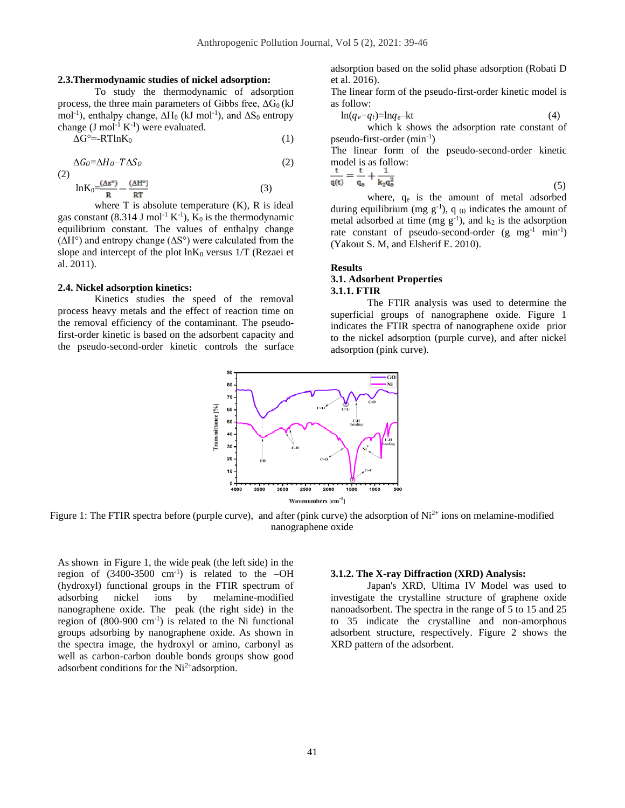#### **2.3.Thermodynamic studies of nickel adsorption:**

To study the thermodynamic of adsorption process, the three main parameters of Gibbs free,  $\Delta G_0$  (kJ mol<sup>-1</sup>), enthalpy change,  $\Delta H_0$  (kJ mol<sup>-1</sup>), and  $\Delta S_0$  entropy change  $(J \text{ mol}^{-1} K^{-1})$  were evaluated.

$$
\Delta G^{\circ} = RT \ln K_0 \tag{1}
$$

 $\Delta G_O = \Delta H_O - T \Delta S_O$  (2)

(2) 
$$
\ln K_0 = \frac{(\Delta s^{\circ})}{R} - \frac{(\Delta H^{\circ})}{RT}
$$
 (3)

where  $T$  is absolute temperature  $(K)$ ,  $R$  is ideal gas constant (8.314 J mol<sup>-1</sup> K<sup>-1</sup>),  $K_0$  is the thermodynamic equilibrium constant. The values of enthalpy change (∆H°) and entropy change (∆S°) were calculated from the slope and intercept of the plot  $ln K_0$  versus  $1/T$  (Rezaei et al. 2011).

#### **2.4. Nickel adsorption kinetics:**

Kinetics studies the speed of the removal process heavy metals and the effect of reaction time on the removal efficiency of the contaminant. The pseudofirst-order kinetic is based on the adsorbent capacity and the pseudo-second-order kinetic controls the surface

adsorption based on the solid phase adsorption (Robati D et al. 2016).

The linear form of the pseudo-first-order kinetic model is as follow:

$$
\ln(q_e - q_t) = \ln q_e - kt \tag{4}
$$

which k shows the adsorption rate constant of pseudo-first-order (min-1 )

The linear form of the pseudo-second-order kinetic model is as follow:

$$
\frac{t}{q(t)} = \frac{t}{q_e} + \frac{1}{k_2 q_e^2}
$$
\n<sup>(5)</sup>

where,  $q_e$  is the amount of metal adsorbed during equilibrium (mg  $g^{-1}$ ), q (t) indicates the amount of metal adsorbed at time (mg  $g^{-1}$ ), and  $k_2$  is the adsorption rate constant of pseudo-second-order  $(g \text{ mg}^{-1} \text{ min}^{-1})$ (Yakout S. M, and Elsherif E. 2010).

#### **Results**

## **3.1. Adsorbent Properties 3.1.1. FTIR**

The FTIR analysis was used to determine the superficial groups of nanographene oxide. Figure 1 indicates the FTIR spectra of nanographene oxide prior to the nickel adsorption (purple curve), and after nickel adsorption (pink curve).



Figure 1: The FTIR spectra before (purple curve), and after (pink curve) the adsorption of  $Ni^{2+}$  ions on melamine-modified nanographene oxide

As shown in Figure 1, the wide peak (the left side) in the region of  $(3400-3500 \text{ cm}^{-1})$  is related to the  $-\text{OH}$ (hydroxyl) functional groups in the FTIR spectrum of adsorbing nickel ions by melamine-modified nanographene oxide. The peak (the right side) in the region of  $(800-900 \text{ cm}^{-1})$  is related to the Ni functional groups adsorbing by nanographene oxide. As shown in the spectra image, the hydroxyl or amino, carbonyl as well as carbon-carbon double bonds groups show good adsorbent conditions for the  $Ni<sup>2+</sup>$ adsorption.

## **3.1.2. The X-ray Diffraction (XRD) Analysis:**

Japan's XRD, Ultima IV Model was used to investigate the crystalline structure of graphene oxide nanoadsorbent. The spectra in the range of 5 to 15 and 25 to 35 indicate the crystalline and non-amorphous adsorbent structure, respectively. Figure 2 shows the XRD pattern of the adsorbent.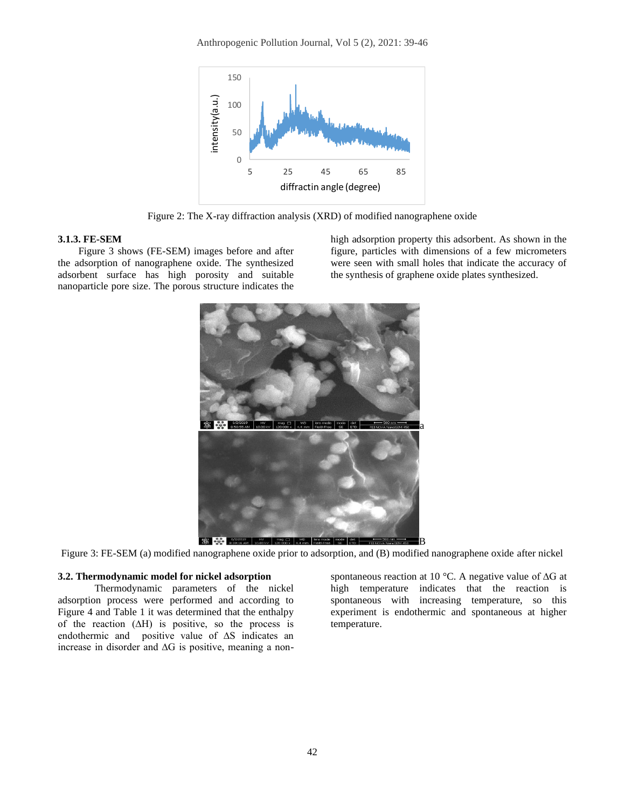Anthropogenic Pollution Journal, Vol 5 (2), 2021: 39-46



Figure 2: The X-ray diffraction analysis (XRD) of modified nanographene oxide

#### **3.1.3. FE-SEM**

Figure 3 shows (FE-SEM) images before and after the adsorption of nanographene oxide. The synthesized adsorbent surface has high porosity and suitable nanoparticle pore size. The porous structure indicates the high adsorption property this adsorbent. As shown in the figure, particles with dimensions of a few micrometers were seen with small holes that indicate the accuracy of the synthesis of graphene oxide plates synthesized.



Figure 3: FE-SEM (a) modified nanographene oxide prior to adsorption, and (B) modified nanographene oxide after nickel

#### **3.2. Thermodynamic model for nickel adsorption**

Thermodynamic parameters of the nickel adsorption process were performed and according to Figure 4 and Table 1 it was determined that the enthalpy of the reaction  $(∆H)$  is positive, so the process is endothermic and positive value of ∆S indicates an increase in disorder and ∆G is positive, meaning a non-

spontaneous reaction at 10 °C. A negative value of ∆G at high temperature indicates that the reaction is spontaneous with increasing temperature, so this experiment is endothermic and spontaneous at higher temperature.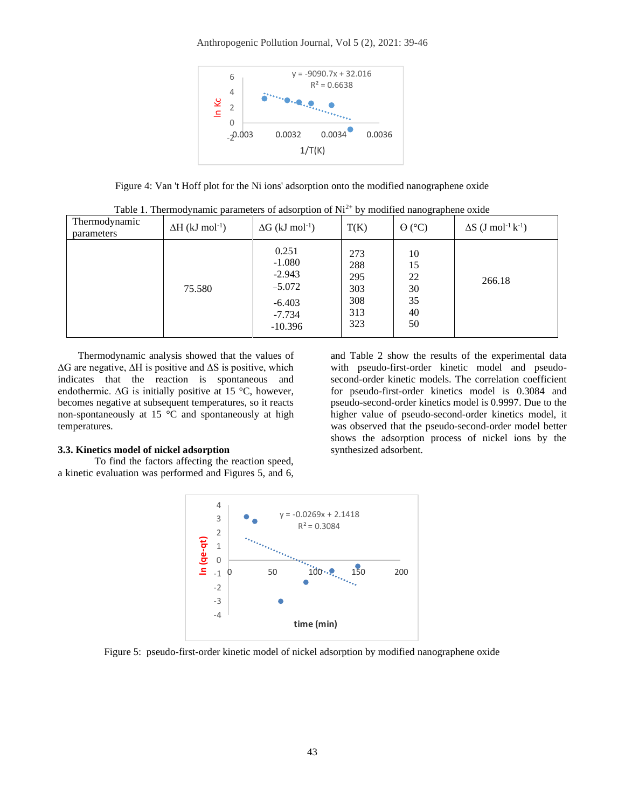#### Anthropogenic Pollution Journal, Vol 5 (2), 2021: 39-46



Figure 4: Van 't Hoff plot for the Ni ions' adsorption onto the modified nanographene oxide

| Thermodynamic<br>parameters | $\Delta H$ (kJ mol <sup>-1</sup> ) | $\Delta G$ (kJ mol <sup>-1</sup> )                                             | T(K)                                          | -- <i>-</i> ----<br>$\Theta$ (°C)      | $\Delta S$ (J mol <sup>-1</sup> k <sup>-1</sup> ) |
|-----------------------------|------------------------------------|--------------------------------------------------------------------------------|-----------------------------------------------|----------------------------------------|---------------------------------------------------|
|                             | 75.580                             | 0.251<br>$-1.080$<br>$-2.943$<br>$-5.072$<br>$-6.403$<br>$-7.734$<br>$-10.396$ | 273<br>288<br>295<br>303<br>308<br>313<br>323 | 10<br>15<br>22<br>30<br>35<br>40<br>50 | 266.18                                            |

Table 1. Thermodynamic parameters of adsorption of  $Ni^{2+}$  by modified nanographene oxide

Thermodynamic analysis showed that the values of ∆G are negative, ∆H is positive and ∆S is positive, which indicates that the reaction is spontaneous and endothermic. ∆G is initially positive at 15 °C, however, becomes negative at subsequent temperatures, so it reacts non-spontaneously at 15 °C and spontaneously at high temperatures.

## **3.3. Kinetics model of nickel adsorption**

To find the factors affecting the reaction speed, a kinetic evaluation was performed and Figures 5, and 6, and Table 2 show the results of the experimental data with pseudo-first-order kinetic model and pseudosecond-order kinetic models. The correlation coefficient for pseudo-first-order kinetics model is 0.3084 and pseudo-second-order kinetics model is 0.9997. Due to the higher value of pseudo-second-order kinetics model, it was observed that the pseudo-second-order model better shows the adsorption process of nickel ions by the synthesized adsorbent.



Figure 5: pseudo-first-order kinetic model of nickel adsorption by modified nanographene oxide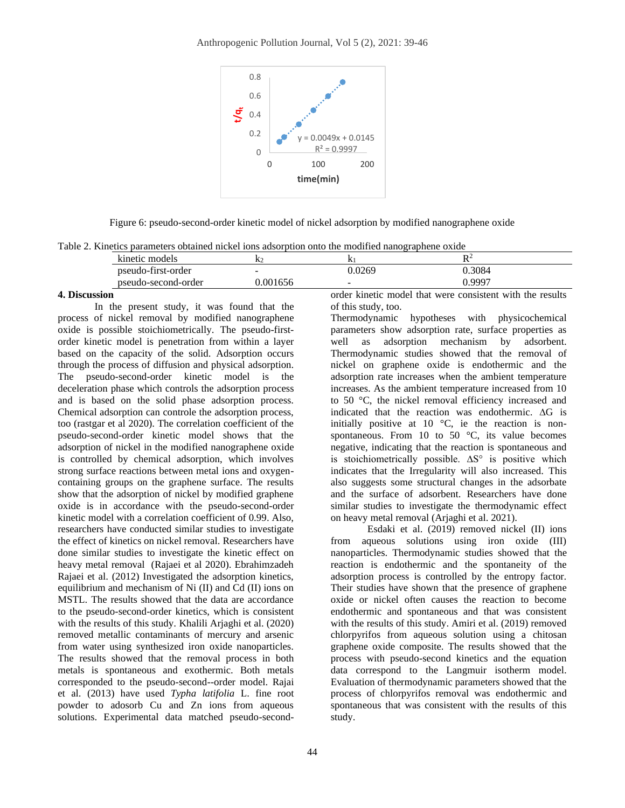

Figure 6: pseudo-second-order kinetic model of nickel adsorption by modified nanographene oxide

| Table 2. Kinetics parameters obtained nickel ions adsorption onto the modified nanographene oxide |  |  |  |  |  |  |  |
|---------------------------------------------------------------------------------------------------|--|--|--|--|--|--|--|
|---------------------------------------------------------------------------------------------------|--|--|--|--|--|--|--|

| ei Thinana amminima aaniina ilmiat lain maanti alia ilm ilmailla limiattamiin alime |                          |       |        |  |
|-------------------------------------------------------------------------------------|--------------------------|-------|--------|--|
| kinetic models                                                                      |                          |       |        |  |
| pseudo-first-order                                                                  | $\overline{\phantom{0}}$ | .0269 | ).3084 |  |
| pseudo-second-order                                                                 | 001656                   | -     | 0.9997 |  |
|                                                                                     |                          | .     | .<br>. |  |

## **4. Discussion**

In the present study, it was found that the process of nickel removal by modified nanographene oxide is possible stoichiometrically. The pseudo-firstorder kinetic model is penetration from within a layer based on the capacity of the solid. Adsorption occurs through the process of diffusion and physical adsorption. The pseudo-second-order kinetic model is the deceleration phase which controls the adsorption process and is based on the solid phase adsorption process. Chemical adsorption can controle the adsorption process, too (rastgar et al 2020). The correlation coefficient of the pseudo-second-order kinetic model shows that the adsorption of nickel in the modified nanographene oxide is controlled by chemical adsorption, which involves strong surface reactions between metal ions and oxygencontaining groups on the graphene surface. The results show that the adsorption of nickel by modified graphene oxide is in accordance with the pseudo-second-order kinetic model with a correlation coefficient of 0.99. Also, researchers have conducted similar studies to investigate the effect of kinetics on nickel removal. Researchers have done similar studies to investigate the kinetic effect on heavy metal removal (Rajaei et al 2020). Ebrahimzadeh Rajaei et al. (2012) Investigated the adsorption kinetics, equilibrium and mechanism of Ni (II) and Cd (II) ions on MSTL. The results showed that the data are accordance to the pseudo-second-order kinetics, which is consistent with the results of this study. Khalili Arjaghi et al. (2020) removed metallic contaminants of mercury and arsenic from water using synthesized iron oxide nanoparticles. The results showed that the removal process in both metals is spontaneous and exothermic. Both metals corresponded to the pseudo-second--order model. Rajai et al. (2013) have used *Typha latifolia* L. fine root powder to adosorb Cu and Zn ions from aqueous solutions. Experimental data matched pseudo-secondorder kinetic model that were consistent with the results of this study, too.

Thermodynamic hypotheses with physicochemical parameters show adsorption rate, surface properties as well as adsorption mechanism by adsorbent. Thermodynamic studies showed that the removal of nickel on graphene oxide is endothermic and the adsorption rate increases when the ambient temperature increases. As the ambient temperature increased from 10 to 50 °C, the nickel removal efficiency increased and indicated that the reaction was endothermic. ∆G is initially positive at 10  $^{\circ}$ C, ie the reaction is nonspontaneous. From 10 to 50 $\degree$ C, its value becomes negative, indicating that the reaction is spontaneous and is stoichiometrically possible. ∆S° is positive which indicates that the Irregularity will also increased. This also suggests some structural changes in the adsorbate and the surface of adsorbent. Researchers have done similar studies to investigate the thermodynamic effect on heavy metal removal (Arjaghi et al. 2021).

Esdaki et al. (2019) removed nickel (II) ions from aqueous solutions using iron oxide (III) nanoparticles. Thermodynamic studies showed that the reaction is endothermic and the spontaneity of the adsorption process is controlled by the entropy factor. Their studies have shown that the presence of graphene oxide or nickel often causes the reaction to become endothermic and spontaneous and that was consistent with the results of this study. Amiri et al. (2019) removed chlorpyrifos from aqueous solution using a chitosan graphene oxide composite. The results showed that the process with pseudo-second kinetics and the equation data correspond to the Langmuir isotherm model. Evaluation of thermodynamic parameters showed that the process of chlorpyrifos removal was endothermic and spontaneous that was consistent with the results of this study.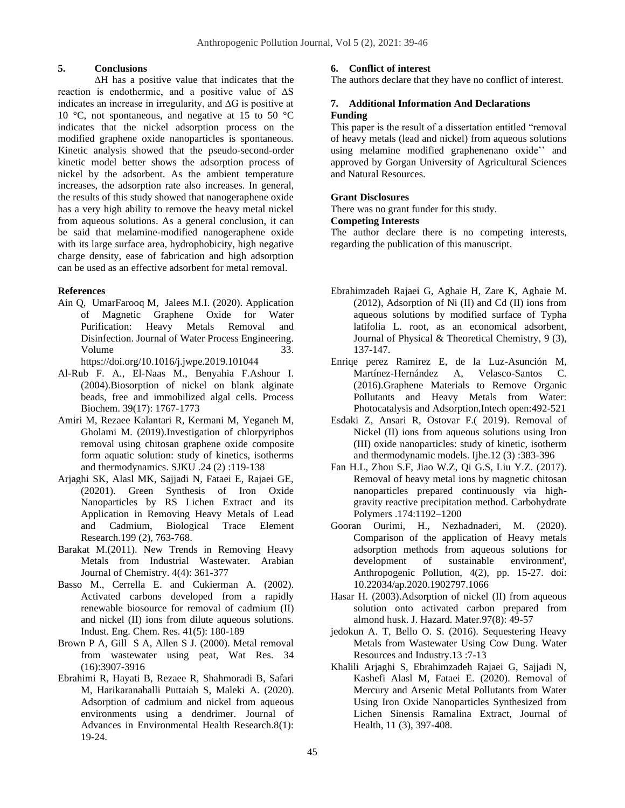## **5. Conclusions**

∆H has a positive value that indicates that the reaction is endothermic, and a positive value of ∆S indicates an increase in irregularity, and ∆G is positive at 10 °C, not spontaneous, and negative at 15 to 50 °C indicates that the nickel adsorption process on the modified graphene oxide nanoparticles is spontaneous. Kinetic analysis showed that the pseudo-second-order kinetic model better shows the adsorption process of nickel by the adsorbent. As the ambient temperature increases, the adsorption rate also increases. In general, the results of this study showed that nanogeraphene oxide has a very high ability to remove the heavy metal nickel from aqueous solutions. As a general conclusion, it can be said that melamine-modified nanogeraphene oxide with its large surface area, hydrophobicity, high negative charge density, ease of fabrication and high adsorption can be used as an effective adsorbent for metal removal.

## **References**

Ain Q, UmarFarooq M, Jalees M.I. (2020). Application of Magnetic Graphene Oxide for Water Purification: Heavy Metals Removal and Disinfection. Journal of Water Process Engineering. Volume 33. https://doi.org/10.1016/j.jwpe.2019.101044

Al-Rub F. A., El-Naas M., Benyahia F.Ashour I. (2004).Biosorption of nickel on blank alginate beads, free and immobilized algal cells. Process

Biochem. 39(17): 1767-1773

- Amiri M, Rezaee Kalantari R, Kermani M, Yeganeh M, Gholami M. (2019).Investigation of chlorpyriphos removal using chitosan graphene oxide composite form aquatic solution: study of kinetics, isotherms and thermodynamics. SJKU .24 (2) :119-138
- Arjaghi SK, Alasl MK, Sajjadi N, Fataei E, Rajaei GE, (20201). Green Synthesis of Iron Oxide Nanoparticles by RS Lichen Extract and its Application in Removing Heavy Metals of Lead and Cadmium, Biological Trace Element Research.199 (2), 763-768.
- Barakat M.(2011). New Trends in Removing Heavy Metals from Industrial Wastewater. Arabian Journal of Chemistry. 4(4): 361-377
- Basso M., Cerrella E. and Cukierman A. (2002). Activated carbons developed from a rapidly renewable biosource for removal of cadmium (II) and nickel (II) ions from dilute aqueous solutions. Indust. Eng. Chem. Res. 41(5): 180-189
- Brown P A, Gill S A, Allen S J. (2000). Metal removal from wastewater using peat, Wat Res. 34 (16):3907-3916
- Ebrahimi R, Hayati B, Rezaee R, Shahmoradi B, Safari M, Harikaranahalli Puttaiah S, Maleki A. (2020). Adsorption of cadmium and nickel from aqueous environments using a dendrimer. Journal of Advances in Environmental Health Research.8(1): 19-24.

## **6. Conflict of interest**

The authors declare that they have no conflict of interest.

## **7. Additional Information And Declarations Funding**

This paper is the result of a dissertation entitled "removal of heavy metals (lead and nickel) from aqueous solutions using melamine modified graphenenano oxide'' and approved by Gorgan University of Agricultural Sciences and Natural Resources.

## **Grant Disclosures**

There was no grant funder for this study.

### **Competing Interests**

The author declare there is no competing interests, regarding the publication of this manuscript.

- Ebrahimzadeh Rajaei G, Aghaie H, Zare K, Aghaie M. (2012), Adsorption of Ni (II) and Cd (II) ions from aqueous solutions by modified surface of Typha latifolia L. root, as an economical adsorbent, Journal of Physical & Theoretical Chemistry, 9 (3), 137-147.
- Enriqe perez Ramirez E, de la Luz-Asunción M, Martínez-Hernández A, Velasco-Santos C. (2016).Graphene Materials to Remove Organic Pollutants and Heavy Metals from Water: Photocatalysis and Adsorption,Intech open:492-521
- Esdaki Z, Ansari R, Ostovar F.( 2019). Removal of Nickel (II) ions from aqueous solutions using Iron (III) oxide nanoparticles: study of kinetic, isotherm and thermodynamic models. Ijhe.12 (3) :383-396
- Fan H.L, Zhou S.F, Jiao W.Z, Qi G.S, Liu Y.Z. (2017). Removal of heavy metal ions by magnetic chitosan nanoparticles prepared continuously via highgravity reactive precipitation method. Carbohydrate Polymers .174:1192–1200
- Gooran Ourimi, H., Nezhadnaderi, M. (2020). Comparison of the application of Heavy metals adsorption methods from aqueous solutions for development of sustainable environment', Anthropogenic Pollution, 4(2), pp. 15-27. doi: 10.22034/ap.2020.1902797.1066
- Hasar H. (2003).Adsorption of nickel (II) from aqueous solution onto activated carbon prepared from almond husk. J. Hazard. Mater.97(8): 49-57
- jedokun A. T, Bello O. S. (2016). Sequestering Heavy Metals from Wastewater Using Cow Dung. Water Resources and Industry.13 :7-13
- Khalili Arjaghi S, Ebrahimzadeh Rajaei G, Sajjadi N, Kashefi Alasl M, Fataei E. (2020). Removal of Mercury and Arsenic Metal Pollutants from Water Using Iron Oxide Nanoparticles Synthesized from Lichen Sinensis Ramalina Extract, Journal of Health, 11 (3), 397-408.